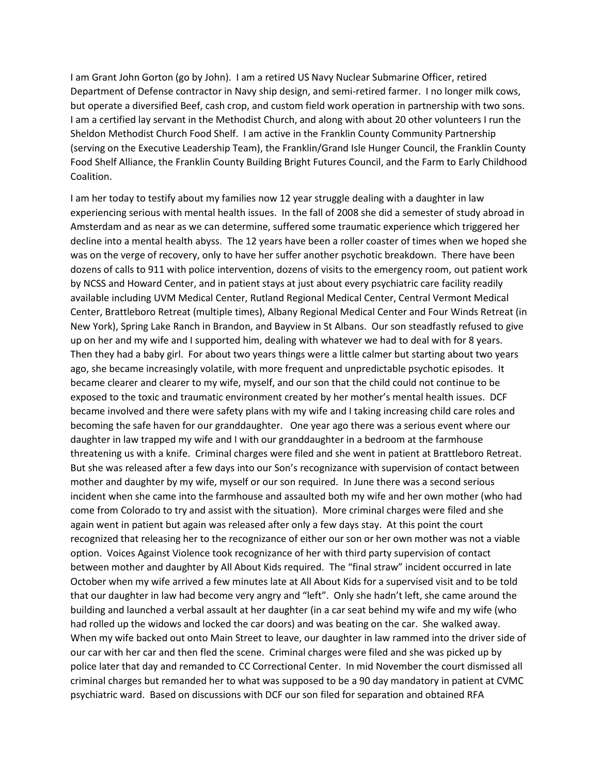I am Grant John Gorton (go by John). I am a retired US Navy Nuclear Submarine Officer, retired Department of Defense contractor in Navy ship design, and semi-retired farmer. I no longer milk cows, but operate a diversified Beef, cash crop, and custom field work operation in partnership with two sons. I am a certified lay servant in the Methodist Church, and along with about 20 other volunteers I run the Sheldon Methodist Church Food Shelf. I am active in the Franklin County Community Partnership (serving on the Executive Leadership Team), the Franklin/Grand Isle Hunger Council, the Franklin County Food Shelf Alliance, the Franklin County Building Bright Futures Council, and the Farm to Early Childhood Coalition.

I am her today to testify about my families now 12 year struggle dealing with a daughter in law experiencing serious with mental health issues. In the fall of 2008 she did a semester of study abroad in Amsterdam and as near as we can determine, suffered some traumatic experience which triggered her decline into a mental health abyss. The 12 years have been a roller coaster of times when we hoped she was on the verge of recovery, only to have her suffer another psychotic breakdown. There have been dozens of calls to 911 with police intervention, dozens of visits to the emergency room, out patient work by NCSS and Howard Center, and in patient stays at just about every psychiatric care facility readily available including UVM Medical Center, Rutland Regional Medical Center, Central Vermont Medical Center, Brattleboro Retreat (multiple times), Albany Regional Medical Center and Four Winds Retreat (in New York), Spring Lake Ranch in Brandon, and Bayview in St Albans. Our son steadfastly refused to give up on her and my wife and I supported him, dealing with whatever we had to deal with for 8 years. Then they had a baby girl. For about two years things were a little calmer but starting about two years ago, she became increasingly volatile, with more frequent and unpredictable psychotic episodes. It became clearer and clearer to my wife, myself, and our son that the child could not continue to be exposed to the toxic and traumatic environment created by her mother's mental health issues. DCF became involved and there were safety plans with my wife and I taking increasing child care roles and becoming the safe haven for our granddaughter. One year ago there was a serious event where our daughter in law trapped my wife and I with our granddaughter in a bedroom at the farmhouse threatening us with a knife. Criminal charges were filed and she went in patient at Brattleboro Retreat. But she was released after a few days into our Son's recognizance with supervision of contact between mother and daughter by my wife, myself or our son required. In June there was a second serious incident when she came into the farmhouse and assaulted both my wife and her own mother (who had come from Colorado to try and assist with the situation). More criminal charges were filed and she again went in patient but again was released after only a few days stay. At this point the court recognized that releasing her to the recognizance of either our son or her own mother was not a viable option. Voices Against Violence took recognizance of her with third party supervision of contact between mother and daughter by All About Kids required. The "final straw" incident occurred in late October when my wife arrived a few minutes late at All About Kids for a supervised visit and to be told that our daughter in law had become very angry and "left". Only she hadn't left, she came around the building and launched a verbal assault at her daughter (in a car seat behind my wife and my wife (who had rolled up the widows and locked the car doors) and was beating on the car. She walked away. When my wife backed out onto Main Street to leave, our daughter in law rammed into the driver side of our car with her car and then fled the scene. Criminal charges were filed and she was picked up by police later that day and remanded to CC Correctional Center. In mid November the court dismissed all criminal charges but remanded her to what was supposed to be a 90 day mandatory in patient at CVMC psychiatric ward. Based on discussions with DCF our son filed for separation and obtained RFA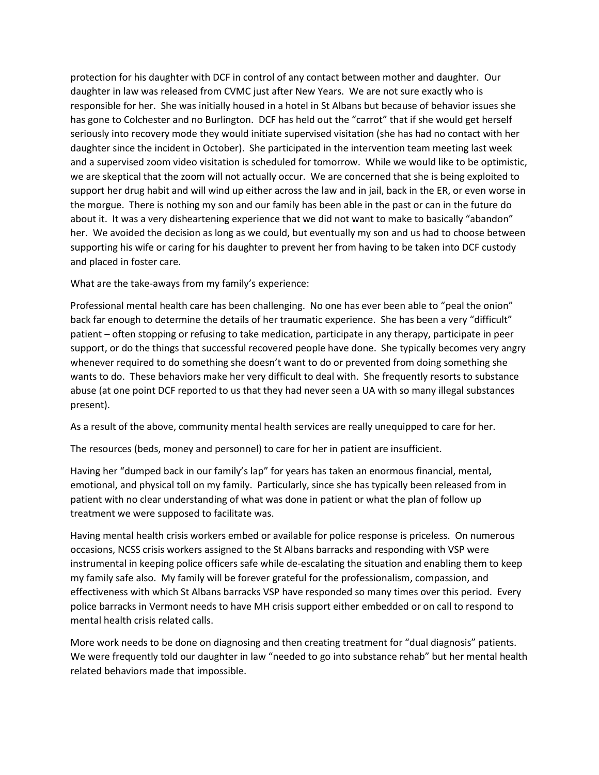protection for his daughter with DCF in control of any contact between mother and daughter. Our daughter in law was released from CVMC just after New Years. We are not sure exactly who is responsible for her. She was initially housed in a hotel in St Albans but because of behavior issues she has gone to Colchester and no Burlington. DCF has held out the "carrot" that if she would get herself seriously into recovery mode they would initiate supervised visitation (she has had no contact with her daughter since the incident in October). She participated in the intervention team meeting last week and a supervised zoom video visitation is scheduled for tomorrow. While we would like to be optimistic, we are skeptical that the zoom will not actually occur. We are concerned that she is being exploited to support her drug habit and will wind up either across the law and in jail, back in the ER, or even worse in the morgue. There is nothing my son and our family has been able in the past or can in the future do about it. It was a very disheartening experience that we did not want to make to basically "abandon" her. We avoided the decision as long as we could, but eventually my son and us had to choose between supporting his wife or caring for his daughter to prevent her from having to be taken into DCF custody and placed in foster care.

What are the take-aways from my family's experience:

Professional mental health care has been challenging. No one has ever been able to "peal the onion" back far enough to determine the details of her traumatic experience. She has been a very "difficult" patient – often stopping or refusing to take medication, participate in any therapy, participate in peer support, or do the things that successful recovered people have done. She typically becomes very angry whenever required to do something she doesn't want to do or prevented from doing something she wants to do. These behaviors make her very difficult to deal with. She frequently resorts to substance abuse (at one point DCF reported to us that they had never seen a UA with so many illegal substances present).

As a result of the above, community mental health services are really unequipped to care for her.

The resources (beds, money and personnel) to care for her in patient are insufficient.

Having her "dumped back in our family's lap" for years has taken an enormous financial, mental, emotional, and physical toll on my family. Particularly, since she has typically been released from in patient with no clear understanding of what was done in patient or what the plan of follow up treatment we were supposed to facilitate was.

Having mental health crisis workers embed or available for police response is priceless. On numerous occasions, NCSS crisis workers assigned to the St Albans barracks and responding with VSP were instrumental in keeping police officers safe while de-escalating the situation and enabling them to keep my family safe also. My family will be forever grateful for the professionalism, compassion, and effectiveness with which St Albans barracks VSP have responded so many times over this period. Every police barracks in Vermont needs to have MH crisis support either embedded or on call to respond to mental health crisis related calls.

More work needs to be done on diagnosing and then creating treatment for "dual diagnosis" patients. We were frequently told our daughter in law "needed to go into substance rehab" but her mental health related behaviors made that impossible.